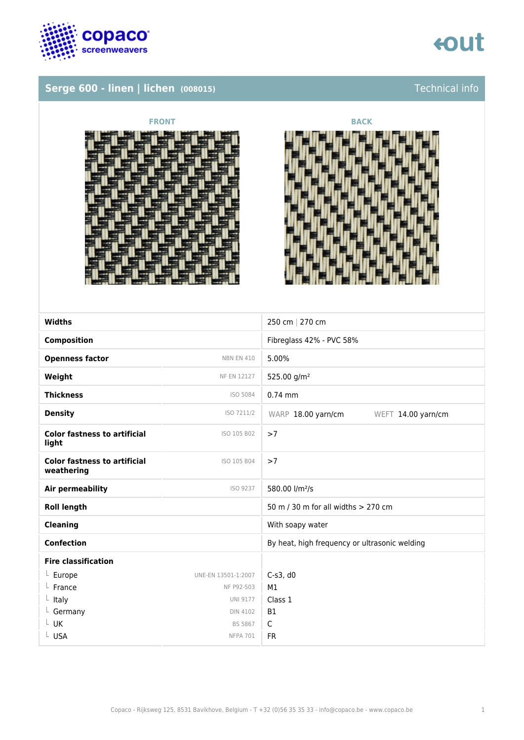

## **Serge 600 - linen | lichen (008015)** Technical info







| <b>Widths</b>                                     |                     | 250 cm   270 cm                               |
|---------------------------------------------------|---------------------|-----------------------------------------------|
| <b>Composition</b>                                |                     | Fibreglass 42% - PVC 58%                      |
| <b>Openness factor</b>                            | <b>NBN EN 410</b>   | 5.00%                                         |
| Weight                                            | <b>NF EN 12127</b>  | 525.00 g/m <sup>2</sup>                       |
| <b>Thickness</b>                                  | ISO 5084            | $0.74$ mm                                     |
| <b>Density</b>                                    | ISO 7211/2          | WARP 18.00 yarn/cm<br>WEFT 14.00 yarn/cm      |
| <b>Color fastness to artificial</b><br>light      | ISO 105 B02         | >7                                            |
| <b>Color fastness to artificial</b><br>weathering | ISO 105 B04         | >7                                            |
| <b>Air permeability</b>                           | ISO 9237            | 580.00 l/m <sup>2</sup> /s                    |
| <b>Roll length</b>                                |                     | 50 m / 30 m for all widths > 270 cm           |
| <b>Cleaning</b>                                   |                     | With soapy water                              |
| <b>Confection</b>                                 |                     | By heat, high frequency or ultrasonic welding |
| <b>Fire classification</b>                        |                     |                                               |
| $L$ Europe                                        | UNE-EN 13501-1:2007 | $C-s3$ , d $0$                                |
| France                                            | NF P92-503          | M1                                            |
| Italy<br>L.                                       | <b>UNI 9177</b>     | Class 1                                       |
| $L$ Germany                                       | <b>DIN 4102</b>     | <b>B1</b>                                     |
| $L$ UK                                            | BS 5867             | $\mathsf{C}$                                  |
| L USA                                             | NFPA 701            | <b>FR</b>                                     |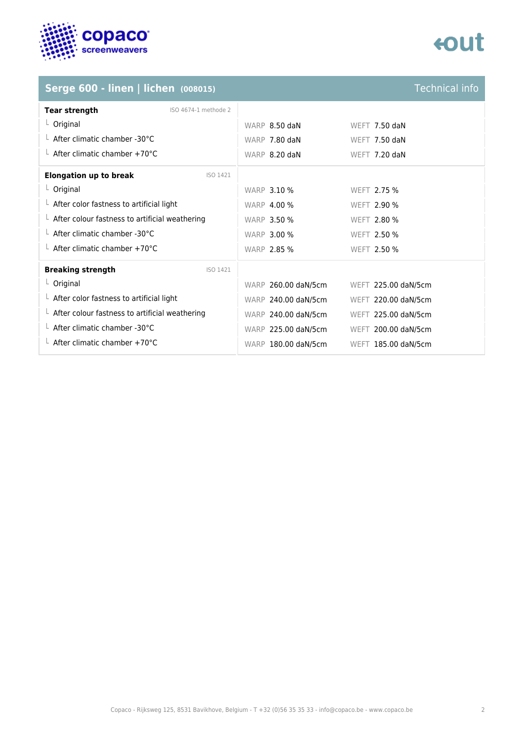

# tout

## **Serge 600 - linen | lichen (008015)**

| <b>Technical info</b> |  |  |
|-----------------------|--|--|
|                       |  |  |
|                       |  |  |

| <b>Tear strength</b>                                   | ISO 4674-1 methode 2 |                     |                      |
|--------------------------------------------------------|----------------------|---------------------|----------------------|
| $L$ Original                                           |                      | WARP 8.50 daN       | <b>WEFT 7.50 daN</b> |
| $\perp$ After climatic chamber -30°C                   |                      | WARP 7.80 daN       | <b>WEFT 7.50 daN</b> |
| $\perp$ After climatic chamber +70°C                   |                      | WARP 8.20 daN       | WEFT 7.20 daN        |
| <b>Elongation up to break</b>                          | ISO 1421             |                     |                      |
| $L$ Original                                           |                      | <b>WARP 3.10 %</b>  | WEFT 2.75 %          |
| $\perp$ After color fastness to artificial light       |                      | <b>WARP 4.00 %</b>  | <b>WEFT 2.90 %</b>   |
| $\perp$ After colour fastness to artificial weathering |                      | <b>WARP 3.50 %</b>  | <b>WEFT 2.80 %</b>   |
| $\perp$ After climatic chamber -30°C                   |                      | <b>WARP 3.00 %</b>  | WEFT 2.50 %          |
| $\perp$ After climatic chamber +70°C                   |                      | <b>WARP 2.85 %</b>  | WEFT 2.50 %          |
| <b>Breaking strength</b>                               | ISO 1421             |                     |                      |
| $L$ Original                                           |                      | WARP 260.00 daN/5cm | WEFT 225.00 daN/5cm  |
| $\perp$ After color fastness to artificial light       |                      | WARP 240.00 daN/5cm | WEFT 220.00 daN/5cm  |
| $\perp$ After colour fastness to artificial weathering |                      | WARP 240.00 daN/5cm | WEFT 225.00 daN/5cm  |
| $\perp$ After climatic chamber -30°C                   |                      | WARP 225.00 daN/5cm | WEFT 200.00 daN/5cm  |
| $\perp$ After climatic chamber +70°C                   |                      | WARP 180.00 daN/5cm | WEFT 185.00 daN/5cm  |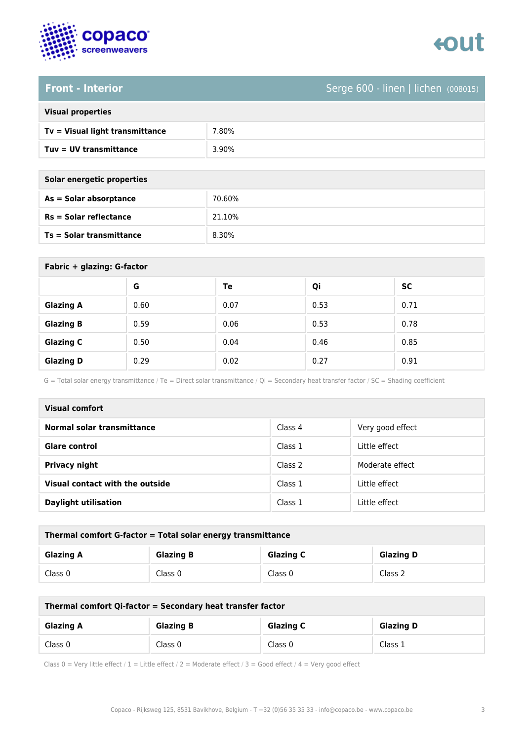



### **Front - Interior** Serge 600 - linen | lichen (008015)

| <b>Visual properties</b> |  |
|--------------------------|--|
|                          |  |

| Tv = Visual light transmittance | 7.80% |
|---------------------------------|-------|
| Tuv = UV transmittance          | 3.90% |

**As = Solar absorptance** 70.60%

**Rs = Solar reflectance** 21.10%

| Solar energetic properties |
|----------------------------|
| As = Solar absorptance     |
| $Rs = Solar$ reflectance   |
|                            |

**Ts = Solar transmittance** 8.30%

| Fabric + glazing: G-factor |      |      |      |           |
|----------------------------|------|------|------|-----------|
|                            | G    | Te   | Qi   | <b>SC</b> |
| <b>Glazing A</b>           | 0.60 | 0.07 | 0.53 | 0.71      |
| <b>Glazing B</b>           | 0.59 | 0.06 | 0.53 | 0.78      |
| <b>Glazing C</b>           | 0.50 | 0.04 | 0.46 | 0.85      |
| <b>Glazing D</b>           | 0.29 | 0.02 | 0.27 | 0.91      |

G = Total solar energy transmittance / Te = Direct solar transmittance / Qi = Secondary heat transfer factor / SC = Shading coefficient

| <b>Visual comfort</b>           |         |                  |
|---------------------------------|---------|------------------|
| Normal solar transmittance      | Class 4 | Very good effect |
| <b>Glare control</b>            | Class 1 | Little effect    |
| Privacy night                   | Class 2 | Moderate effect  |
| Visual contact with the outside | Class 1 | Little effect    |
| <b>Daylight utilisation</b>     | Class 1 | Little effect    |

| Thermal comfort G-factor = Total solar energy transmittance |                  |                  |                  |
|-------------------------------------------------------------|------------------|------------------|------------------|
| <b>Glazing A</b>                                            | <b>Glazing B</b> | <b>Glazing C</b> | <b>Glazing D</b> |
| Class 0                                                     | Class 0          | Class 0          | Class 2          |

| Thermal comfort Qi-factor = Secondary heat transfer factor                   |         |         |         |
|------------------------------------------------------------------------------|---------|---------|---------|
| <b>Glazing B</b><br><b>Glazing C</b><br><b>Glazing D</b><br><b>Glazing A</b> |         |         |         |
| Class 0                                                                      | Class 0 | Class 0 | Class 1 |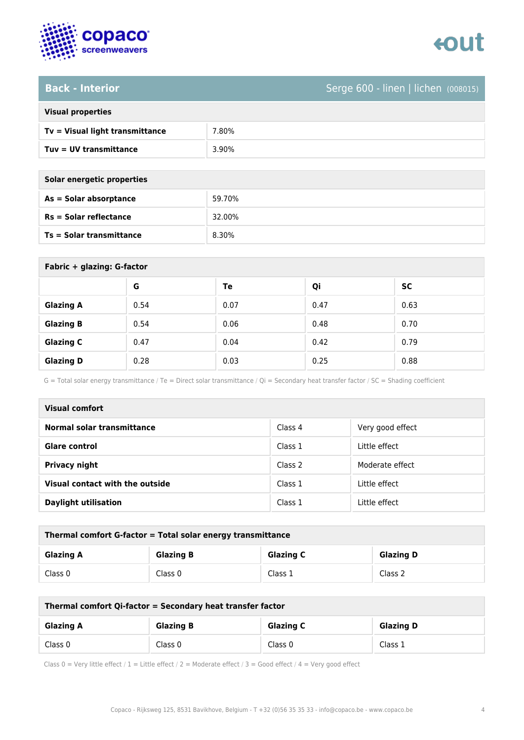

### **Back - Interior** Serge 600 - linen | lichen (008015)

| <b>Visual properties</b> |  |
|--------------------------|--|
|                          |  |

| Tv = Visual light transmittance | 7.80% |
|---------------------------------|-------|
| Tuv = UV transmittance          | 3.90% |

**As = Solar absorptance** 59.70%

**Rs = Solar reflectance** 32.00%

| Solar energetic properties |  |
|----------------------------|--|
| As = Solar absorptance     |  |
| $Rs = Solar$ reflectance   |  |

**Ts = Solar transmittance** 8.30%

| Fabric + glazing: G-factor |      |      |      |           |
|----------------------------|------|------|------|-----------|
|                            | G    | Te   | Qi   | <b>SC</b> |
| <b>Glazing A</b>           | 0.54 | 0.07 | 0.47 | 0.63      |
| <b>Glazing B</b>           | 0.54 | 0.06 | 0.48 | 0.70      |
| <b>Glazing C</b>           | 0.47 | 0.04 | 0.42 | 0.79      |
| <b>Glazing D</b>           | 0.28 | 0.03 | 0.25 | 0.88      |

G = Total solar energy transmittance / Te = Direct solar transmittance / Qi = Secondary heat transfer factor / SC = Shading coefficient

| Visual comfort                  |         |                  |
|---------------------------------|---------|------------------|
| Normal solar transmittance      | Class 4 | Very good effect |
| <b>Glare control</b>            | Class 1 | Little effect    |
| <b>Privacy night</b>            | Class 2 | Moderate effect  |
| Visual contact with the outside | Class 1 | Little effect    |
| <b>Daylight utilisation</b>     | Class 1 | Little effect    |

| Thermal comfort G-factor = Total solar energy transmittance |                  |                  |                  |
|-------------------------------------------------------------|------------------|------------------|------------------|
| <b>Glazing A</b>                                            | <b>Glazing B</b> | <b>Glazing C</b> | <b>Glazing D</b> |
| Class 0                                                     | Class 0          | Class 1          | Class 2          |

| Thermal comfort Qi-factor = Secondary heat transfer factor |                  |                  |                  |
|------------------------------------------------------------|------------------|------------------|------------------|
| <b>Glazing A</b>                                           | <b>Glazing B</b> | <b>Glazing C</b> | <b>Glazing D</b> |
| Class 0                                                    | Class 0          | Class 0          | Class 1          |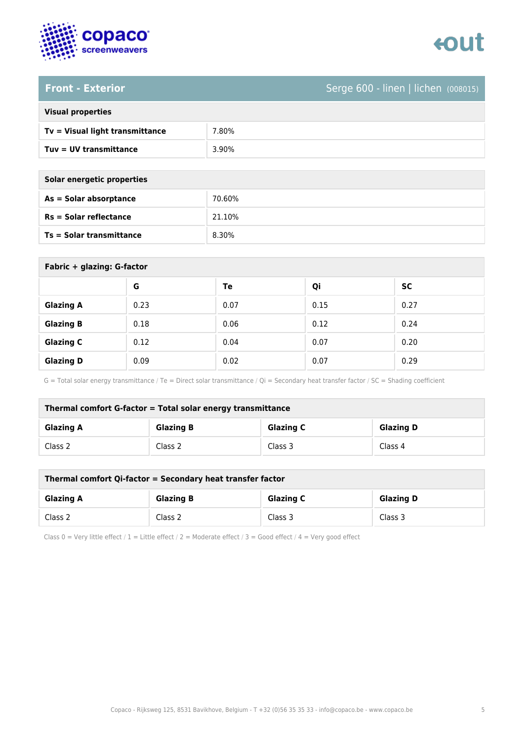

# enut

### **Front - Exterior** Serge 600 - linen | lichen (008015)

|  | <b>Visual properties</b> |
|--|--------------------------|
|  |                          |

| Tv = Visual light transmittance | 7.80% |
|---------------------------------|-------|
| Tuy = UV transmittance          | 3.90% |

**As = Solar absorptance** 70.60%

**Rs = Solar reflectance** 21.10%

| Solar energetic properties      |        |
|---------------------------------|--------|
| As = Solar absorptance          | 70.60% |
| $Rs = Solar$ reflectance        | 21.10% |
| <b>Ts = Solar transmittance</b> | 8.30%  |

| Fabric + glazing: G-factor |      |      |      |      |
|----------------------------|------|------|------|------|
|                            | G    | Te   | Qi   | SC   |
| <b>Glazing A</b>           | 0.23 | 0.07 | 0.15 | 0.27 |
| <b>Glazing B</b>           | 0.18 | 0.06 | 0.12 | 0.24 |
| <b>Glazing C</b>           | 0.12 | 0.04 | 0.07 | 0.20 |
| <b>Glazing D</b>           | 0.09 | 0.02 | 0.07 | 0.29 |

G = Total solar energy transmittance / Te = Direct solar transmittance / Qi = Secondary heat transfer factor / SC = Shading coefficient

| Thermal comfort G-factor = Total solar energy transmittance |                  |                  |                  |
|-------------------------------------------------------------|------------------|------------------|------------------|
| <b>Glazing A</b>                                            | <b>Glazing B</b> | <b>Glazing C</b> | <b>Glazing D</b> |
| Class 2                                                     | Class 2          | Class 3          | Class 4          |

| Thermal comfort Qi-factor = Secondary heat transfer factor |                  |                  |                  |
|------------------------------------------------------------|------------------|------------------|------------------|
| <b>Glazing A</b>                                           | <b>Glazing B</b> | <b>Glazing C</b> | <b>Glazing D</b> |
| Class 2                                                    | Class 2          | Class 3          | Class 3          |